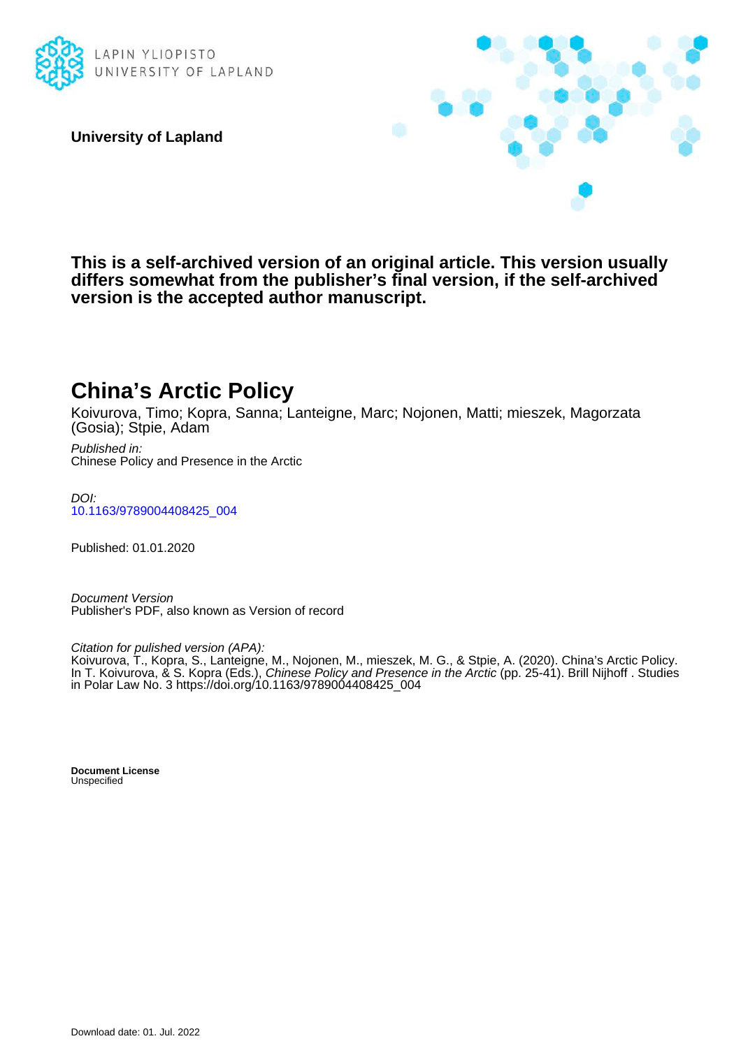

**University of Lapland**



**This is a self-archived version of an original article. This version usually differs somewhat from the publisher's final version, if the self-archived version is the accepted author manuscript.**

# **China's Arctic Policy**

Koivurova, Timo; Kopra, Sanna; Lanteigne, Marc; Nojonen, Matti; mieszek, Magorzata (Gosia); Stpie, Adam

Published in: Chinese Policy and Presence in the Arctic

DOI: [10.1163/9789004408425\\_004](https://doi.org/10.1163/9789004408425_004)

Published: 01.01.2020

Document Version Publisher's PDF, also known as Version of record

Citation for pulished version (APA):

Koivurova, T., Kopra, S., Lanteigne, M., Nojonen, M., mieszek, M. G., & Stpie, A. (2020). China's Arctic Policy. In T. Koivurova, & S. Kopra (Eds.), Chinese Policy and Presence in the Arctic (pp. 25-41). Brill Nijhoff . Studies in Polar Law No. 3 [https://doi.org/10.1163/9789004408425\\_004](https://doi.org/10.1163/9789004408425_004)

**Document License** Unspecified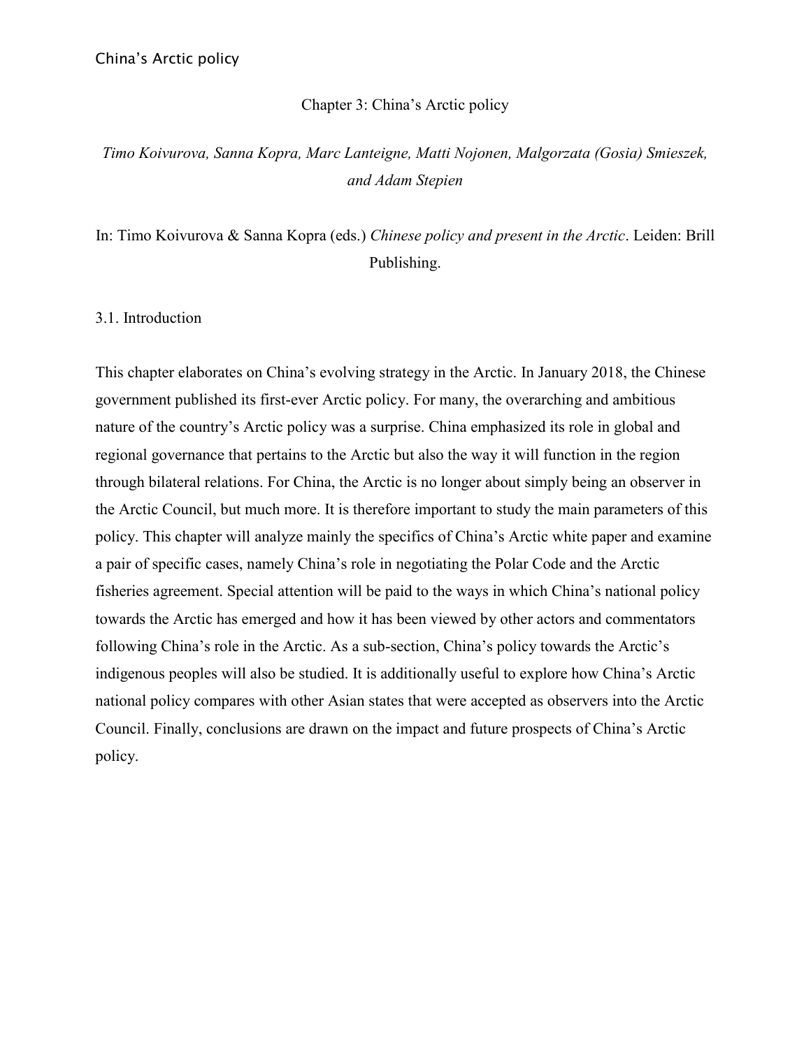#### Chapter 3: China's Arctic policy

# *Timo Koivurova, Sanna Kopra, Marc Lanteigne, Matti Nojonen, Malgorzata (Gosia) Smieszek, and Adam Stepien*

In: Timo Koivurova & Sanna Kopra (eds.) *Chinese policy and present in the Arctic*. Leiden: Brill Publishing.

3.1. Introduction

This chapter elaborates on China's evolving strategy in the Arctic. In January 2018, the Chinese government published its first-ever Arctic policy. For many, the overarching and ambitious nature of the country's Arctic policy was a surprise. China emphasized its role in global and regional governance that pertains to the Arctic but also the way it will function in the region through bilateral relations. For China, the Arctic is no longer about simply being an observer in the Arctic Council, but much more. It is therefore important to study the main parameters of this policy. This chapter will analyze mainly the specifics of China's Arctic white paper and examine a pair of specific cases, namely China's role in negotiating the Polar Code and the Arctic fisheries agreement. Special attention will be paid to the ways in which China's national policy towards the Arctic has emerged and how it has been viewed by other actors and commentators following China's role in the Arctic. As a sub-section, China's policy towards the Arctic's indigenous peoples will also be studied. It is additionally useful to explore how China's Arctic national policy compares with other Asian states that were accepted as observers into the Arctic Council. Finally, conclusions are drawn on the impact and future prospects of China's Arctic policy.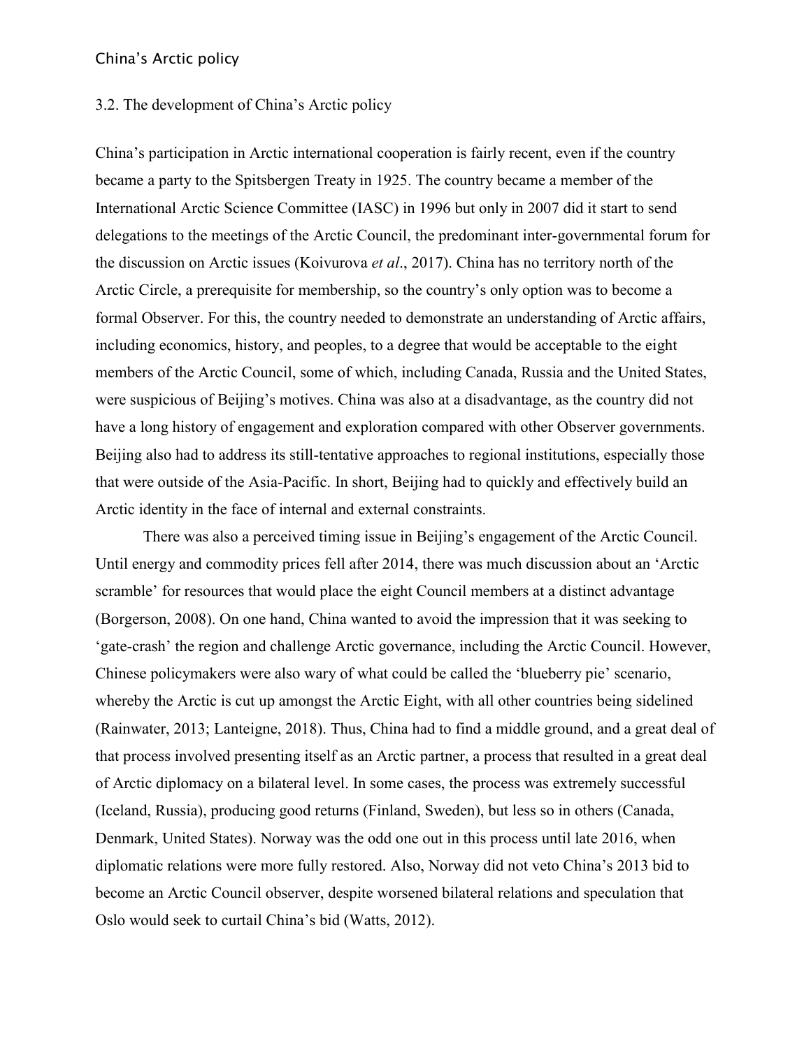#### 3.2. The development of China's Arctic policy

China's participation in Arctic international cooperation is fairly recent, even if the country became a party to the Spitsbergen Treaty in 1925. The country became a member of the International Arctic Science Committee (IASC) in 1996 but only in 2007 did it start to send delegations to the meetings of the Arctic Council, the predominant inter-governmental forum for the discussion on Arctic issues (Koivurova *et al*., 2017). China has no territory north of the Arctic Circle, a prerequisite for membership, so the country's only option was to become a formal Observer. For this, the country needed to demonstrate an understanding of Arctic affairs, including economics, history, and peoples, to a degree that would be acceptable to the eight members of the Arctic Council, some of which, including Canada, Russia and the United States, were suspicious of Beijing's motives. China was also at a disadvantage, as the country did not have a long history of engagement and exploration compared with other Observer governments. Beijing also had to address its still-tentative approaches to regional institutions, especially those that were outside of the Asia-Pacific. In short, Beijing had to quickly and effectively build an Arctic identity in the face of internal and external constraints.

There was also a perceived timing issue in Beijing's engagement of the Arctic Council. Until energy and commodity prices fell after 2014, there was much discussion about an 'Arctic scramble' for resources that would place the eight Council members at a distinct advantage (Borgerson, 2008). On one hand, China wanted to avoid the impression that it was seeking to 'gate-crash' the region and challenge Arctic governance, including the Arctic Council. However, Chinese policymakers were also wary of what could be called the 'blueberry pie' scenario, whereby the Arctic is cut up amongst the Arctic Eight, with all other countries being sidelined (Rainwater, 2013; Lanteigne, 2018). Thus, China had to find a middle ground, and a great deal of that process involved presenting itself as an Arctic partner, a process that resulted in a great deal of Arctic diplomacy on a bilateral level. In some cases, the process was extremely successful (Iceland, Russia), producing good returns (Finland, Sweden), but less so in others (Canada, Denmark, United States). Norway was the odd one out in this process until late 2016, when diplomatic relations were more fully restored. Also, Norway did not veto China's 2013 bid to become an Arctic Council observer, despite worsened bilateral relations and speculation that Oslo would seek to curtail China's bid (Watts, 2012).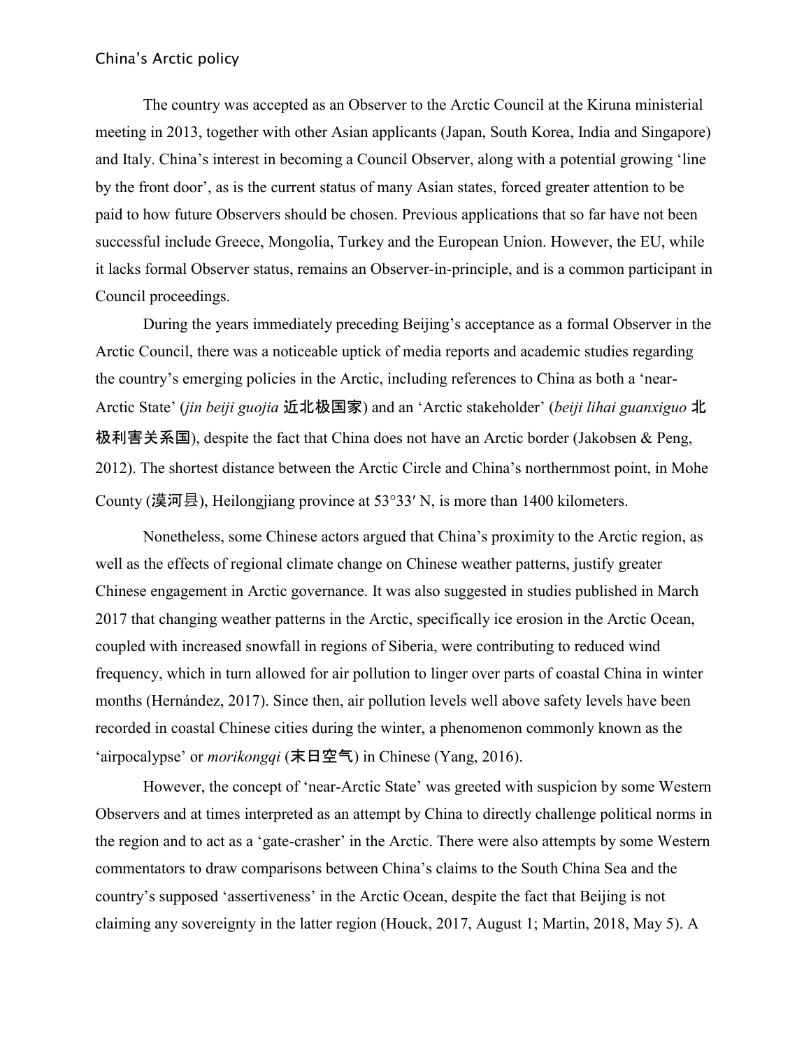The country was accepted as an Observer to the Arctic Council at the Kiruna ministerial meeting in 2013, together with other Asian applicants (Japan, South Korea, India and Singapore) and Italy. China's interest in becoming a Council Observer, along with a potential growing 'line by the front door', as is the current status of many Asian states, forced greater attention to be paid to how future Observers should be chosen. Previous applications that so far have not been successful include Greece, Mongolia, Turkey and the European Union. However, the EU, while it lacks formal Observer status, remains an Observer-in-principle, and is a common participant in Council proceedings.

During the years immediately preceding Beijing's acceptance as a formal Observer in the Arctic Council, there was a noticeable uptick of media reports and academic studies regarding the country's emerging policies in the Arctic, including references to China as both a 'near-Arctic State' (*jin beiji guojia* 近北极国家) and an 'Arctic stakeholder' (*beiji lihai guanxiguo* 北 极利害关系国), despite the fact that China does not have an Arctic border (Jakobsen & Peng, 2012). The shortest distance between the Arctic Circle and China's northernmost point, in Mohe County (漠河县), Heilongjiang province at 53°33′ N, is more than 1400 kilometers.

Nonetheless, some Chinese actors argued that China's proximity to the Arctic region, as well as the effects of regional climate change on Chinese weather patterns, justify greater Chinese engagement in Arctic governance. It was also suggested in studies published in March 2017 that changing weather patterns in the Arctic, specifically ice erosion in the Arctic Ocean, coupled with increased snowfall in regions of Siberia, were contributing to reduced wind frequency, which in turn allowed for air pollution to linger over parts of coastal China in winter months (Hernández, 2017). Since then, air pollution levels well above safety levels have been recorded in coastal Chinese cities during the winter, a phenomenon commonly known as the 'airpocalypse' or *morikongqi* (末日空气) in Chinese (Yang, 2016).

However, the concept of 'near-Arctic State' was greeted with suspicion by some Western Observers and at times interpreted as an attempt by China to directly challenge political norms in the region and to act as a 'gate-crasher' in the Arctic. There were also attempts by some Western commentators to draw comparisons between China's claims to the South China Sea and the country's supposed 'assertiveness' in the Arctic Ocean, despite the fact that Beijing is not claiming any sovereignty in the latter region (Houck, 2017, August 1; Martin, 2018, May 5). A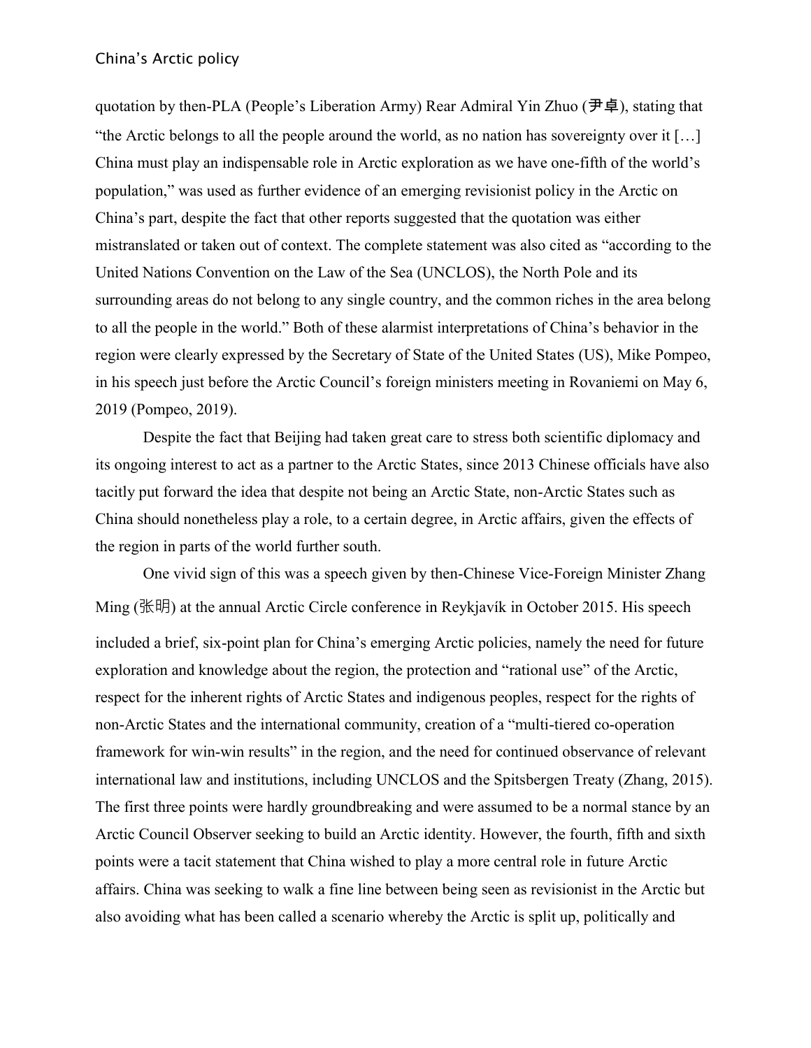quotation by then-PLA (People's Liberation Army) Rear Admiral Yin Zhuo (尹卓), stating that "the Arctic belongs to all the people around the world, as no nation has sovereignty over it […] China must play an indispensable role in Arctic exploration as we have one-fifth of the world's population," was used as further evidence of an emerging revisionist policy in the Arctic on China's part, despite the fact that other reports suggested that the quotation was either mistranslated or taken out of context. The complete statement was also cited as "according to the United Nations Convention on the Law of the Sea (UNCLOS), the North Pole and its surrounding areas do not belong to any single country, and the common riches in the area belong to all the people in the world." Both of these alarmist interpretations of China's behavior in the region were clearly expressed by the Secretary of State of the United States (US), Mike Pompeo, in his speech just before the Arctic Council's foreign ministers meeting in Rovaniemi on May 6, 2019 (Pompeo, 2019).

Despite the fact that Beijing had taken great care to stress both scientific diplomacy and its ongoing interest to act as a partner to the Arctic States, since 2013 Chinese officials have also tacitly put forward the idea that despite not being an Arctic State, non-Arctic States such as China should nonetheless play a role, to a certain degree, in Arctic affairs, given the effects of the region in parts of the world further south.

One vivid sign of this was a speech given by then-Chinese Vice-Foreign Minister Zhang Ming (张明) at the annual Arctic Circle conference in Reykjavík in October 2015. His speech included a brief, six-point plan for China's emerging Arctic policies, namely the need for future exploration and knowledge about the region, the protection and "rational use" of the Arctic, respect for the inherent rights of Arctic States and indigenous peoples, respect for the rights of non-Arctic States and the international community, creation of a "multi-tiered co-operation framework for win-win results" in the region, and the need for continued observance of relevant international law and institutions, including UNCLOS and the Spitsbergen Treaty (Zhang, 2015). The first three points were hardly groundbreaking and were assumed to be a normal stance by an Arctic Council Observer seeking to build an Arctic identity. However, the fourth, fifth and sixth points were a tacit statement that China wished to play a more central role in future Arctic affairs. China was seeking to walk a fine line between being seen as revisionist in the Arctic but also avoiding what has been called a scenario whereby the Arctic is split up, politically and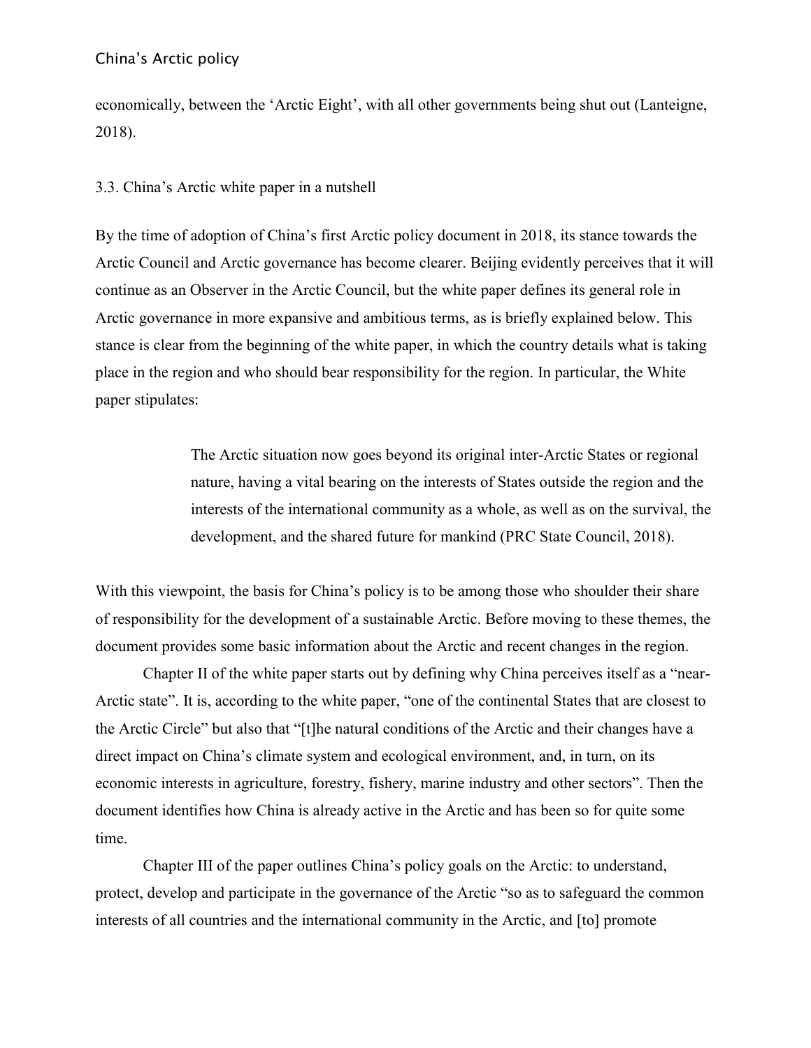economically, between the 'Arctic Eight', with all other governments being shut out (Lanteigne, 2018).

# 3.3. China's Arctic white paper in a nutshell

By the time of adoption of China's first Arctic policy document in 2018, its stance towards the Arctic Council and Arctic governance has become clearer. Beijing evidently perceives that it will continue as an Observer in the Arctic Council, but the white paper defines its general role in Arctic governance in more expansive and ambitious terms, as is briefly explained below. This stance is clear from the beginning of the white paper, in which the country details what is taking place in the region and who should bear responsibility for the region. In particular, the White paper stipulates:

> The Arctic situation now goes beyond its original inter-Arctic States or regional nature, having a vital bearing on the interests of States outside the region and the interests of the international community as a whole, as well as on the survival, the development, and the shared future for mankind (PRC State Council, 2018).

With this viewpoint, the basis for China's policy is to be among those who shoulder their share of responsibility for the development of a sustainable Arctic. Before moving to these themes, the document provides some basic information about the Arctic and recent changes in the region.

Chapter II of the white paper starts out by defining why China perceives itself as a "near-Arctic state". It is, according to the white paper, "one of the continental States that are closest to the Arctic Circle" but also that "[t]he natural conditions of the Arctic and their changes have a direct impact on China's climate system and ecological environment, and, in turn, on its economic interests in agriculture, forestry, fishery, marine industry and other sectors". Then the document identifies how China is already active in the Arctic and has been so for quite some time.

Chapter III of the paper outlines China's policy goals on the Arctic: to understand, protect, develop and participate in the governance of the Arctic "so as to safeguard the common interests of all countries and the international community in the Arctic, and [to] promote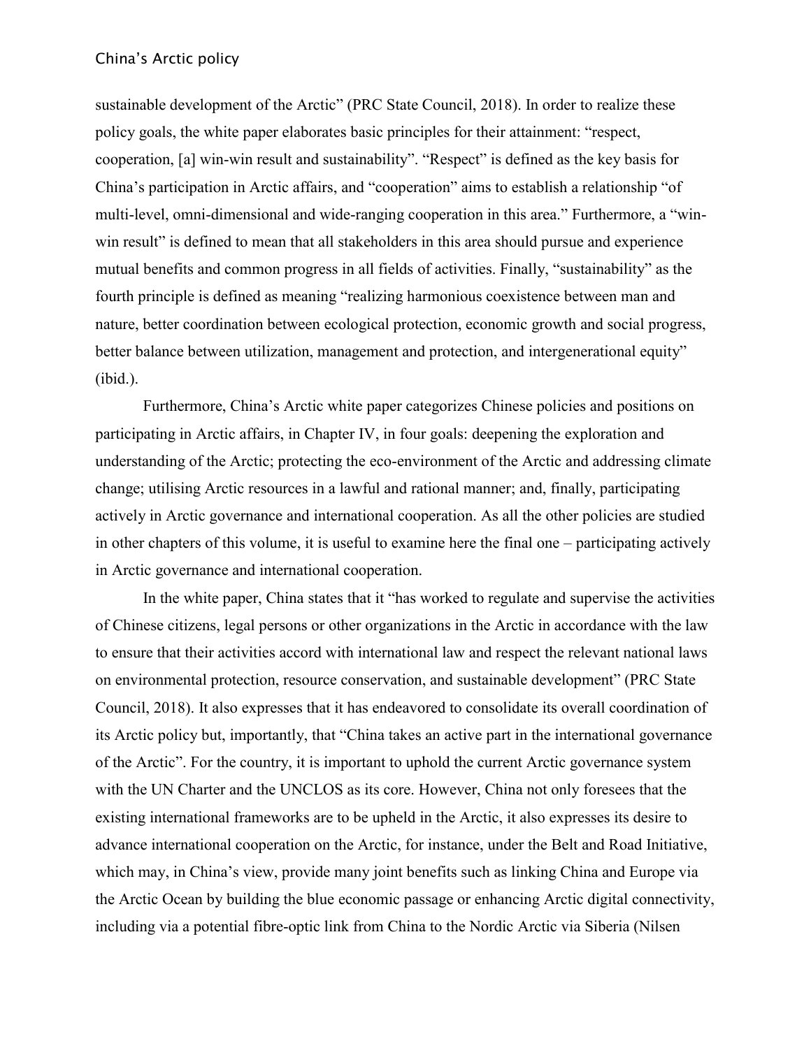sustainable development of the Arctic" (PRC State Council, 2018). In order to realize these policy goals, the white paper elaborates basic principles for their attainment: "respect, cooperation, [a] win-win result and sustainability". "Respect" is defined as the key basis for China's participation in Arctic affairs, and "cooperation" aims to establish a relationship "of multi-level, omni-dimensional and wide-ranging cooperation in this area." Furthermore, a "winwin result" is defined to mean that all stakeholders in this area should pursue and experience mutual benefits and common progress in all fields of activities. Finally, "sustainability" as the fourth principle is defined as meaning "realizing harmonious coexistence between man and nature, better coordination between ecological protection, economic growth and social progress, better balance between utilization, management and protection, and intergenerational equity" (ibid.).

Furthermore, China's Arctic white paper categorizes Chinese policies and positions on participating in Arctic affairs, in Chapter IV, in four goals: deepening the exploration and understanding of the Arctic; protecting the eco-environment of the Arctic and addressing climate change; utilising Arctic resources in a lawful and rational manner; and, finally, participating actively in Arctic governance and international cooperation. As all the other policies are studied in other chapters of this volume, it is useful to examine here the final one – participating actively in Arctic governance and international cooperation.

In the white paper, China states that it "has worked to regulate and supervise the activities of Chinese citizens, legal persons or other organizations in the Arctic in accordance with the law to ensure that their activities accord with international law and respect the relevant national laws on environmental protection, resource conservation, and sustainable development" (PRC State Council, 2018). It also expresses that it has endeavored to consolidate its overall coordination of its Arctic policy but, importantly, that "China takes an active part in the international governance of the Arctic". For the country, it is important to uphold the current Arctic governance system with the UN Charter and the UNCLOS as its core. However, China not only foresees that the existing international frameworks are to be upheld in the Arctic, it also expresses its desire to advance international cooperation on the Arctic, for instance, under the Belt and Road Initiative, which may, in China's view, provide many joint benefits such as linking China and Europe via the Arctic Ocean by building the blue economic passage or enhancing Arctic digital connectivity, including via a potential fibre-optic link from China to the Nordic Arctic via Siberia (Nilsen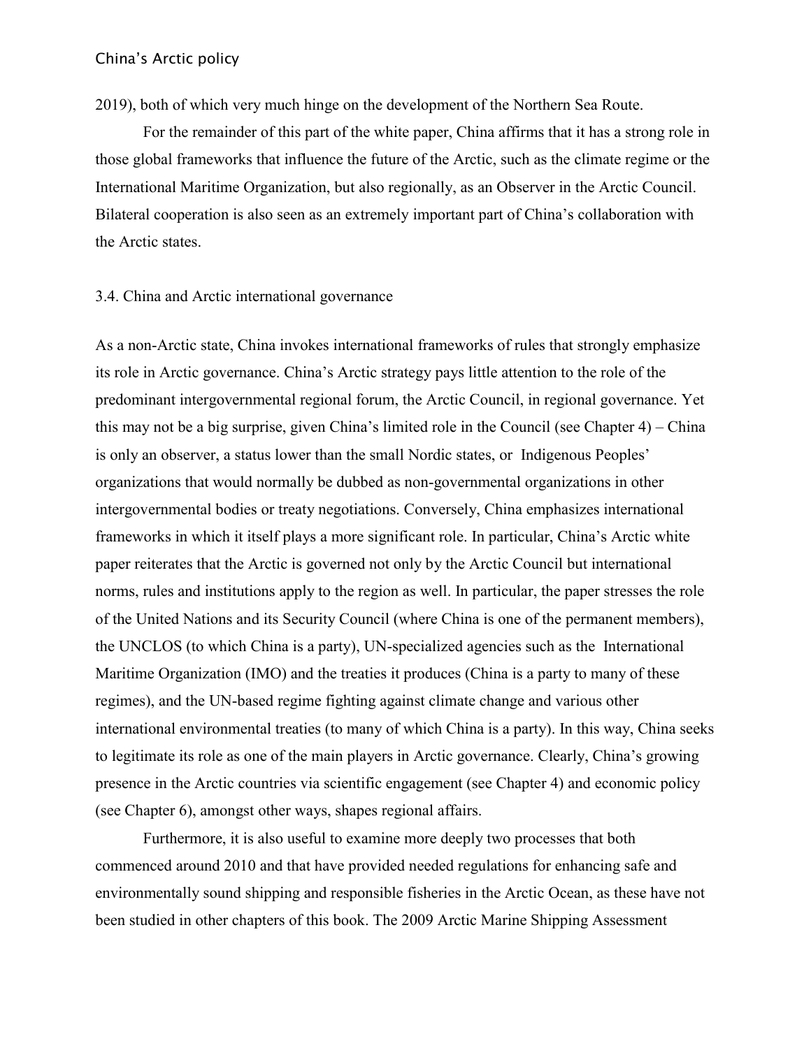2019), both of which very much hinge on the development of the Northern Sea Route.

For the remainder of this part of the white paper, China affirms that it has a strong role in those global frameworks that influence the future of the Arctic, such as the climate regime or the International Maritime Organization, but also regionally, as an Observer in the Arctic Council. Bilateral cooperation is also seen as an extremely important part of China's collaboration with the Arctic states.

#### 3.4. China and Arctic international governance

As a non-Arctic state, China invokes international frameworks of rules that strongly emphasize its role in Arctic governance. China's Arctic strategy pays little attention to the role of the predominant intergovernmental regional forum, the Arctic Council, in regional governance. Yet this may not be a big surprise, given China's limited role in the Council (see Chapter 4) – China is only an observer, a status lower than the small Nordic states, or Indigenous Peoples' organizations that would normally be dubbed as non-governmental organizations in other intergovernmental bodies or treaty negotiations. Conversely, China emphasizes international frameworks in which it itself plays a more significant role. In particular, China's Arctic white paper reiterates that the Arctic is governed not only by the Arctic Council but international norms, rules and institutions apply to the region as well. In particular, the paper stresses the role of the United Nations and its Security Council (where China is one of the permanent members), the UNCLOS (to which China is a party), UN-specialized agencies such as the International Maritime Organization (IMO) and the treaties it produces (China is a party to many of these regimes), and the UN-based regime fighting against climate change and various other international environmental treaties (to many of which China is a party). In this way, China seeks to legitimate its role as one of the main players in Arctic governance. Clearly, China's growing presence in the Arctic countries via scientific engagement (see Chapter 4) and economic policy (see Chapter 6), amongst other ways, shapes regional affairs.

Furthermore, it is also useful to examine more deeply two processes that both commenced around 2010 and that have provided needed regulations for enhancing safe and environmentally sound shipping and responsible fisheries in the Arctic Ocean, as these have not been studied in other chapters of this book. The 2009 Arctic Marine Shipping Assessment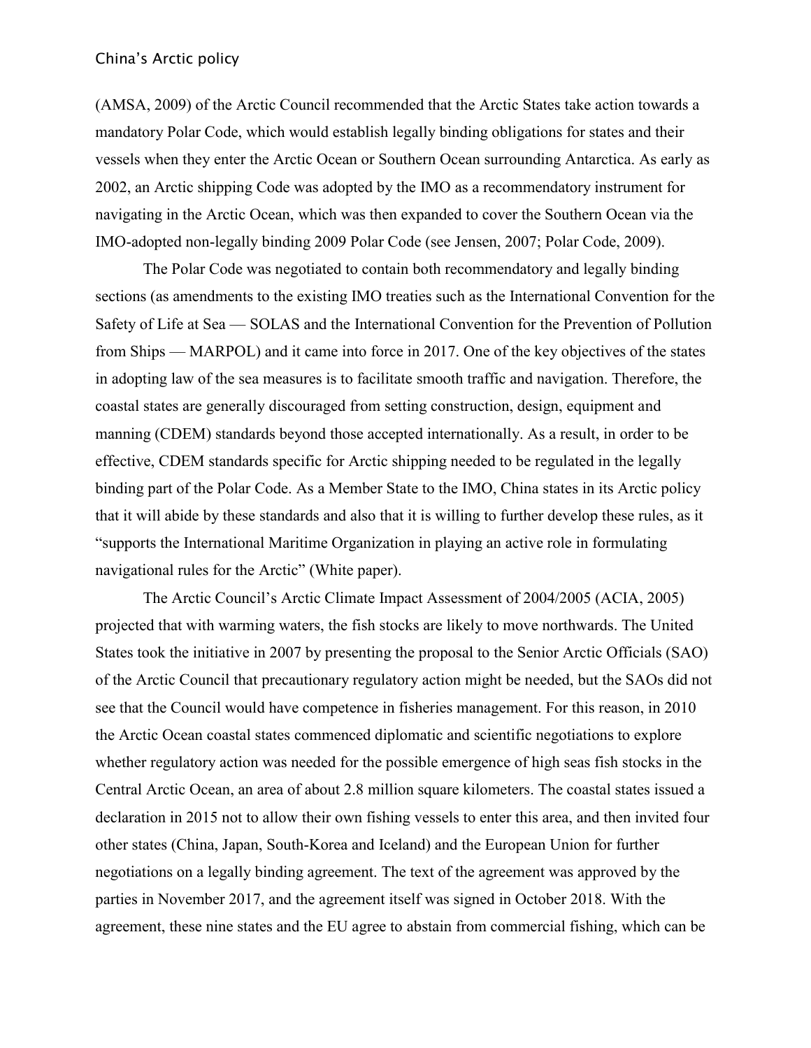(AMSA, 2009) of the Arctic Council recommended that the Arctic States take action towards a mandatory Polar Code, which would establish legally binding obligations for states and their vessels when they enter the Arctic Ocean or Southern Ocean surrounding Antarctica. As early as 2002, an Arctic shipping Code was adopted by the IMO as a recommendatory instrument for navigating in the Arctic Ocean, which was then expanded to cover the Southern Ocean via the IMO-adopted non-legally binding 2009 Polar Code (see Jensen, 2007; Polar Code, 2009).

The Polar Code was negotiated to contain both recommendatory and legally binding sections (as amendments to the existing IMO treaties such as the International Convention for the Safety of Life at Sea — SOLAS and the International Convention for the Prevention of Pollution from Ships — MARPOL) and it came into force in 2017. One of the key objectives of the states in adopting law of the sea measures is to facilitate smooth traffic and navigation. Therefore, the coastal states are generally discouraged from setting construction, design, equipment and manning (CDEM) standards beyond those accepted internationally. As a result, in order to be effective, CDEM standards specific for Arctic shipping needed to be regulated in the legally binding part of the Polar Code. As a Member State to the IMO, China states in its Arctic policy that it will abide by these standards and also that it is willing to further develop these rules, as it "supports the International Maritime Organization in playing an active role in formulating navigational rules for the Arctic" (White paper).

The Arctic Council's Arctic Climate Impact Assessment of 2004/2005 (ACIA, 2005) projected that with warming waters, the fish stocks are likely to move northwards. The United States took the initiative in 2007 by presenting the proposal to the Senior Arctic Officials (SAO) of the Arctic Council that precautionary regulatory action might be needed, but the SAOs did not see that the Council would have competence in fisheries management. For this reason, in 2010 the Arctic Ocean coastal states commenced diplomatic and scientific negotiations to explore whether regulatory action was needed for the possible emergence of high seas fish stocks in the Central Arctic Ocean, an area of about 2.8 million square kilometers. The coastal states issued a declaration in 2015 not to allow their own fishing vessels to enter this area, and then invited four other states (China, Japan, South-Korea and Iceland) and the European Union for further negotiations on a legally binding agreement. The text of the agreement was approved by the parties in November 2017, and the agreement itself was signed in October 2018. With the agreement, these nine states and the EU agree to abstain from commercial fishing, which can be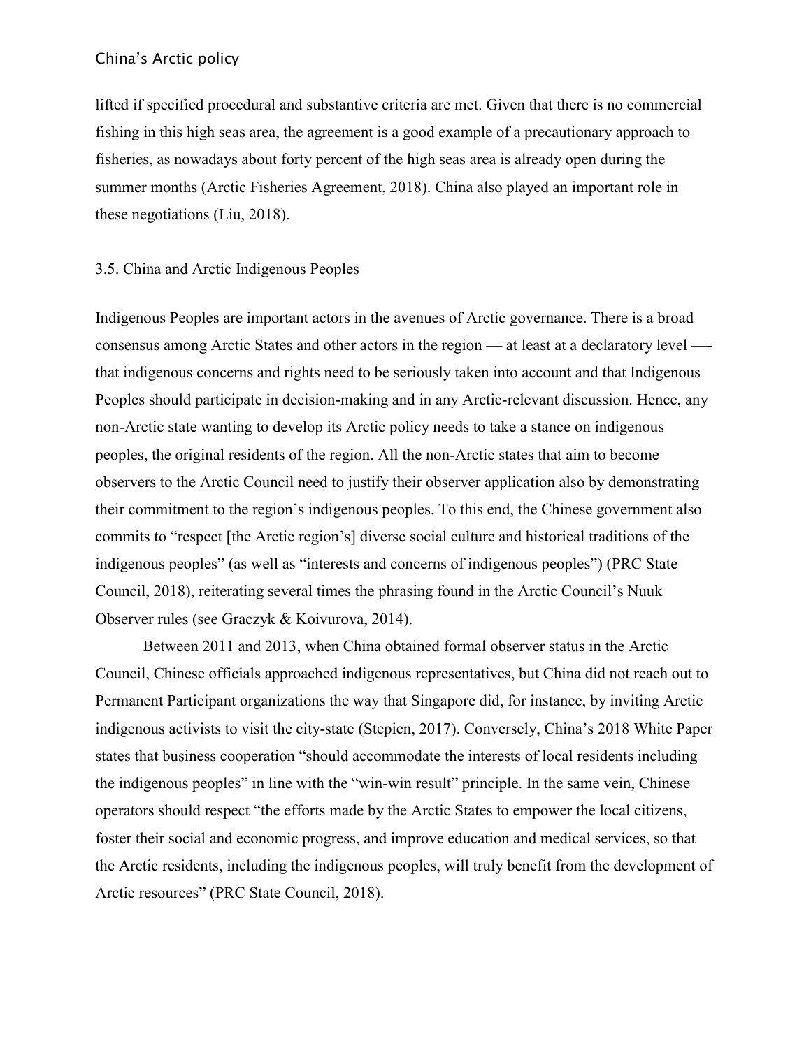lifted if specified procedural and substantive criteria are met. Given that there is no commercial fishing in this high seas area, the agreement is a good example of a precautionary approach to fisheries, as nowadays about forty percent of the high seas area is already open during the summer months (Arctic Fisheries Agreement, 2018). China also played an important role in these negotiations (Liu, 2018).

# 3.5. China and Arctic Indigenous Peoples

Indigenous Peoples are important actors in the avenues of Arctic governance. There is a broad consensus among Arctic States and other actors in the region — at least at a declaratory level — that indigenous concerns and rights need to be seriously taken into account and that Indigenous Peoples should participate in decision-making and in any Arctic-relevant discussion. Hence, any non-Arctic state wanting to develop its Arctic policy needs to take a stance on indigenous peoples, the original residents of the region. All the non-Arctic states that aim to become observers to the Arctic Council need to justify their observer application also by demonstrating their commitment to the region's indigenous peoples. To this end, the Chinese government also commits to "respect [the Arctic region's] diverse social culture and historical traditions of the indigenous peoples" (as well as "interests and concerns of indigenous peoples") (PRC State Council, 2018), reiterating several times the phrasing found in the Arctic Council's Nuuk Observer rules (see Graczyk & Koivurova, 2014).

Between 2011 and 2013, when China obtained formal observer status in the Arctic Council, Chinese officials approached indigenous representatives, but China did not reach out to Permanent Participant organizations the way that Singapore did, for instance, by inviting Arctic indigenous activists to visit the city-state (Stepien, 2017). Conversely, China's 2018 White Paper states that business cooperation "should accommodate the interests of local residents including the indigenous peoples" in line with the "win-win result" principle. In the same vein, Chinese operators should respect "the efforts made by the Arctic States to empower the local citizens, foster their social and economic progress, and improve education and medical services, so that the Arctic residents, including the indigenous peoples, will truly benefit from the development of Arctic resources" (PRC State Council, 2018).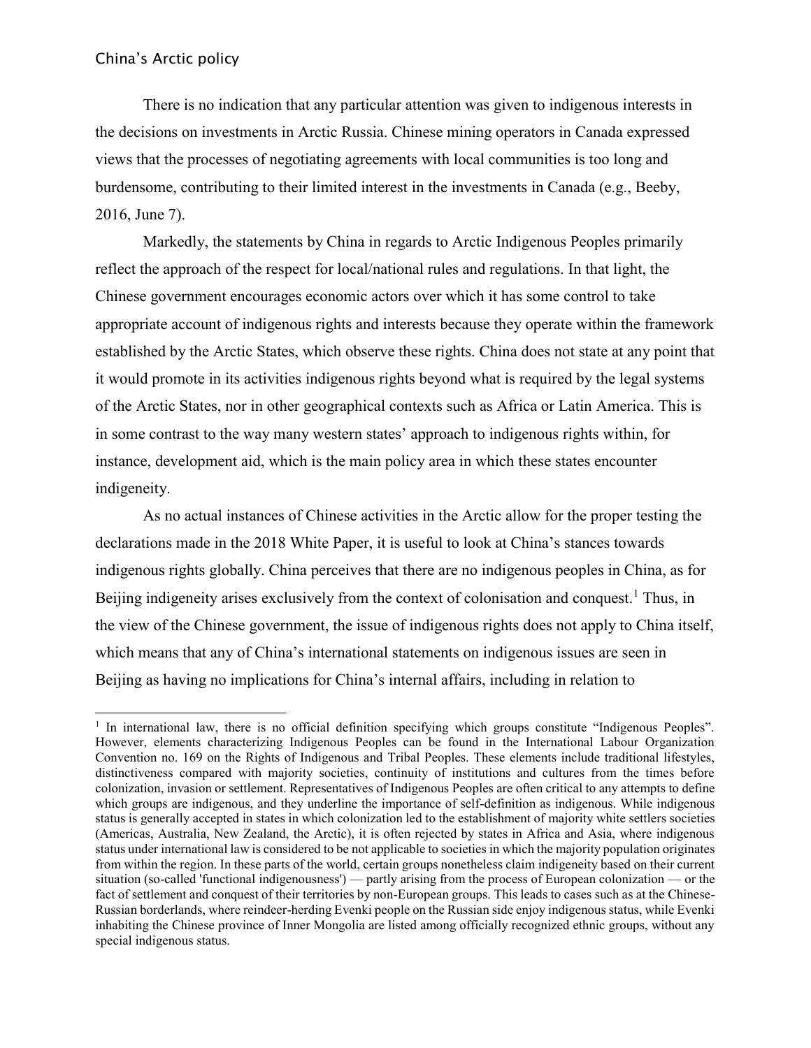There is no indication that any particular attention was given to indigenous interests in the decisions on investments in Arctic Russia. Chinese mining operators in Canada expressed views that the processes of negotiating agreements with local communities is too long and burdensome, contributing to their limited interest in the investments in Canada (e.g., Beeby, 2016, June 7).

Markedly, the statements by China in regards to Arctic Indigenous Peoples primarily reflect the approach of the respect for local/national rules and regulations. In that light, the Chinese government encourages economic actors over which it has some control to take appropriate account of indigenous rights and interests because they operate within the framework established by the Arctic States, which observe these rights. China does not state at any point that it would promote in its activities indigenous rights beyond what is required by the legal systems of the Arctic States, nor in other geographical contexts such as Africa or Latin America. This is in some contrast to the way many western states' approach to indigenous rights within, for instance, development aid, which is the main policy area in which these states encounter indigeneity.

As no actual instances of Chinese activities in the Arctic allow for the proper testing the declarations made in the 2018 White Paper, it is useful to look at China's stances towards indigenous rights globally. China perceives that there are no indigenous peoples in China, as for Beijing indigeneity arises exclusively from the context of colonisation and conquest.<sup>1</sup> Thus, in the view of the Chinese government, the issue of indigenous rights does not apply to China itself, which means that any of China's international statements on indigenous issues are seen in Beijing as having no implications for China's internal affairs, including in relation to

 $\overline{a}$ <sup>1</sup> In international law, there is no official definition specifying which groups constitute "Indigenous Peoples". However, elements characterizing Indigenous Peoples can be found in the International Labour Organization Convention no. 169 on the Rights of Indigenous and Tribal Peoples. These elements include traditional lifestyles, distinctiveness compared with majority societies, continuity of institutions and cultures from the times before colonization, invasion or settlement. Representatives of Indigenous Peoples are often critical to any attempts to define which groups are indigenous, and they underline the importance of self-definition as indigenous. While indigenous status is generally accepted in states in which colonization led to the establishment of majority white settlers societies (Americas, Australia, New Zealand, the Arctic), it is often rejected by states in Africa and Asia, where indigenous status under international law is considered to be not applicable to societies in which the majority population originates from within the region. In these parts of the world, certain groups nonetheless claim indigeneity based on their current situation (so-called 'functional indigenousness') — partly arising from the process of European colonization — or the fact of settlement and conquest of their territories by non-European groups. This leads to cases such as at the Chinese-Russian borderlands, where reindeer-herding Evenki people on the Russian side enjoy indigenous status, while Evenki inhabiting the Chinese province of Inner Mongolia are listed among officially recognized ethnic groups, without any special indigenous status.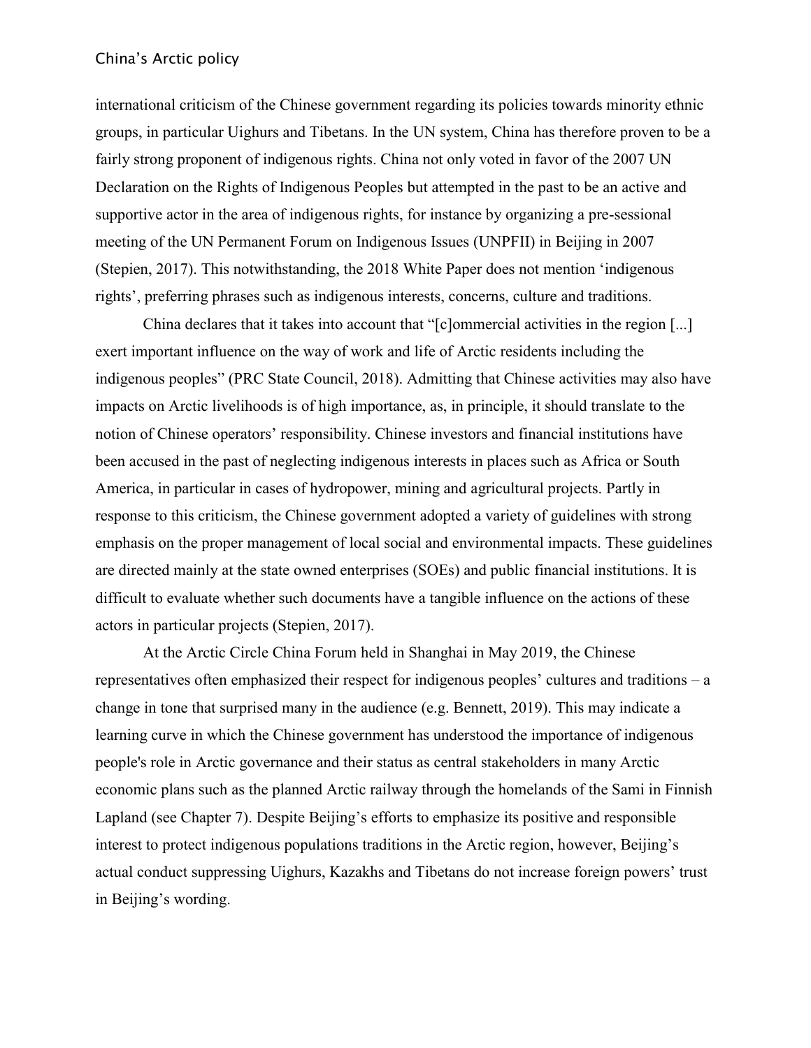international criticism of the Chinese government regarding its policies towards minority ethnic groups, in particular Uighurs and Tibetans. In the UN system, China has therefore proven to be a fairly strong proponent of indigenous rights. China not only voted in favor of the 2007 UN Declaration on the Rights of Indigenous Peoples but attempted in the past to be an active and supportive actor in the area of indigenous rights, for instance by organizing a pre-sessional meeting of the UN Permanent Forum on Indigenous Issues (UNPFII) in Beijing in 2007 (Stepien, 2017). This notwithstanding, the 2018 White Paper does not mention 'indigenous rights', preferring phrases such as indigenous interests, concerns, culture and traditions.

China declares that it takes into account that "[c]ommercial activities in the region [...] exert important influence on the way of work and life of Arctic residents including the indigenous peoples" (PRC State Council, 2018). Admitting that Chinese activities may also have impacts on Arctic livelihoods is of high importance, as, in principle, it should translate to the notion of Chinese operators' responsibility. Chinese investors and financial institutions have been accused in the past of neglecting indigenous interests in places such as Africa or South America, in particular in cases of hydropower, mining and agricultural projects. Partly in response to this criticism, the Chinese government adopted a variety of guidelines with strong emphasis on the proper management of local social and environmental impacts. These guidelines are directed mainly at the state owned enterprises (SOEs) and public financial institutions. It is difficult to evaluate whether such documents have a tangible influence on the actions of these actors in particular projects (Stepien, 2017).

At the Arctic Circle China Forum held in Shanghai in May 2019, the Chinese representatives often emphasized their respect for indigenous peoples' cultures and traditions – a change in tone that surprised many in the audience (e.g. Bennett, 2019). This may indicate a learning curve in which the Chinese government has understood the importance of indigenous people's role in Arctic governance and their status as central stakeholders in many Arctic economic plans such as the planned Arctic railway through the homelands of the Sami in Finnish Lapland (see Chapter 7). Despite Beijing's efforts to emphasize its positive and responsible interest to protect indigenous populations traditions in the Arctic region, however, Beijing's actual conduct suppressing Uighurs, Kazakhs and Tibetans do not increase foreign powers' trust in Beijing's wording.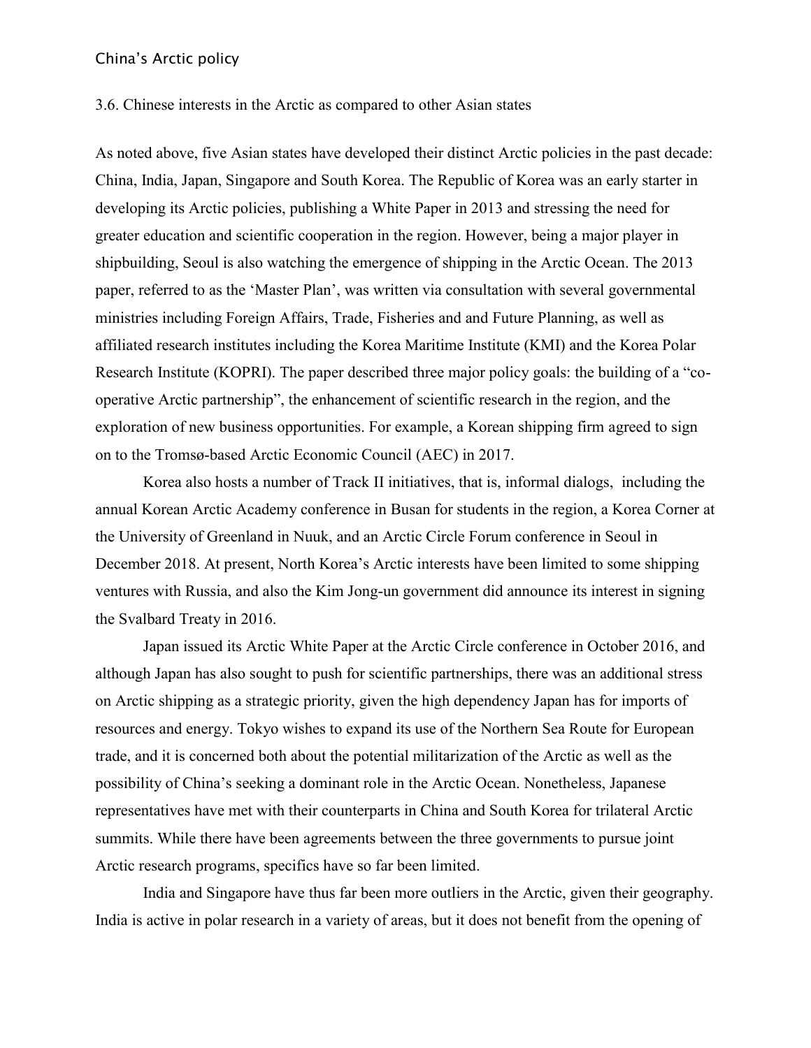#### 3.6. Chinese interests in the Arctic as compared to other Asian states

As noted above, five Asian states have developed their distinct Arctic policies in the past decade: China, India, Japan, Singapore and South Korea. The Republic of Korea was an early starter in developing its Arctic policies, publishing a White Paper in 2013 and stressing the need for greater education and scientific cooperation in the region. However, being a major player in shipbuilding, Seoul is also watching the emergence of shipping in the Arctic Ocean. The 2013 paper, referred to as the 'Master Plan', was written via consultation with several governmental ministries including Foreign Affairs, Trade, Fisheries and and Future Planning, as well as affiliated research institutes including the Korea Maritime Institute (KMI) and the Korea Polar Research Institute (KOPRI). The paper described three major policy goals: the building of a "cooperative Arctic partnership", the enhancement of scientific research in the region, and the exploration of new business opportunities. For example, a Korean shipping firm agreed to sign on to the Tromsø-based Arctic Economic Council (AEC) in 2017.

Korea also hosts a number of Track II initiatives, that is, informal dialogs, including the annual Korean Arctic Academy conference in Busan for students in the region, a Korea Corner at the University of Greenland in Nuuk, and an Arctic Circle Forum conference in Seoul in December 2018. At present, North Korea's Arctic interests have been limited to some shipping ventures with Russia, and also the Kim Jong-un government did announce its interest in signing the Svalbard Treaty in 2016.

Japan issued its Arctic White Paper at the Arctic Circle conference in October 2016, and although Japan has also sought to push for scientific partnerships, there was an additional stress on Arctic shipping as a strategic priority, given the high dependency Japan has for imports of resources and energy. Tokyo wishes to expand its use of the Northern Sea Route for European trade, and it is concerned both about the potential militarization of the Arctic as well as the possibility of China's seeking a dominant role in the Arctic Ocean. Nonetheless, Japanese representatives have met with their counterparts in China and South Korea for trilateral Arctic summits. While there have been agreements between the three governments to pursue joint Arctic research programs, specifics have so far been limited.

India and Singapore have thus far been more outliers in the Arctic, given their geography. India is active in polar research in a variety of areas, but it does not benefit from the opening of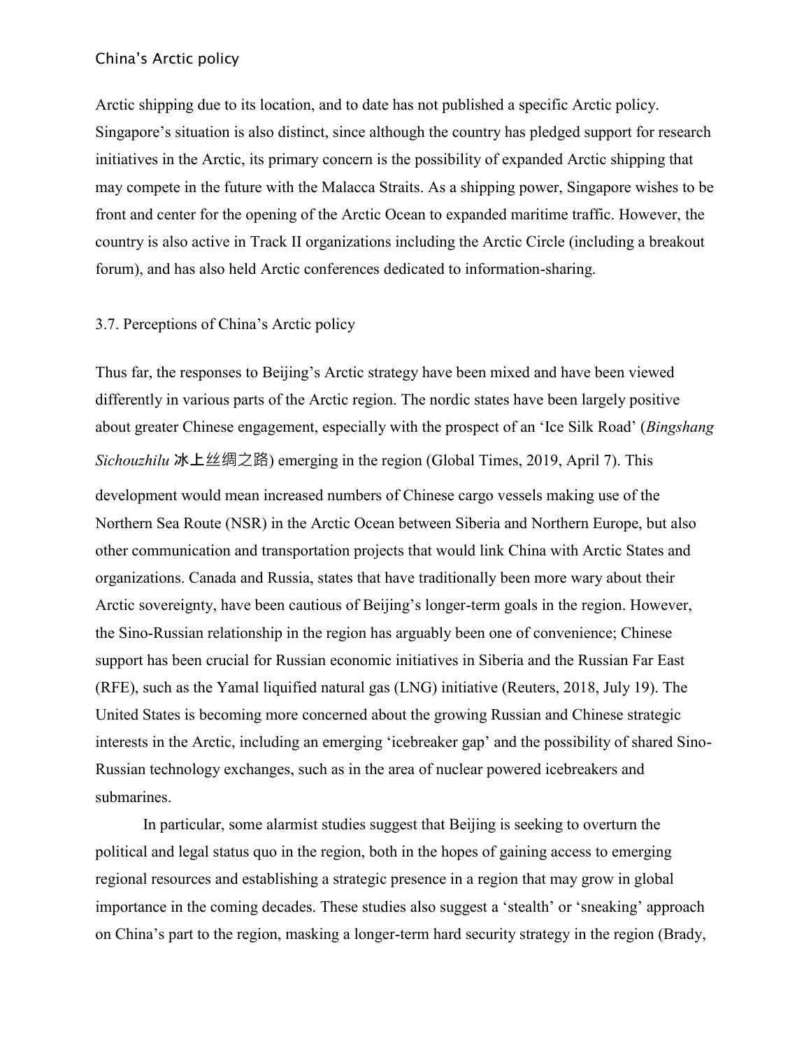Arctic shipping due to its location, and to date has not published a specific Arctic policy. Singapore's situation is also distinct, since although the country has pledged support for research initiatives in the Arctic, its primary concern is the possibility of expanded Arctic shipping that may compete in the future with the Malacca Straits. As a shipping power, Singapore wishes to be front and center for the opening of the Arctic Ocean to expanded maritime traffic. However, the country is also active in Track II organizations including the Arctic Circle (including a breakout forum), and has also held Arctic conferences dedicated to information-sharing.

# 3.7. Perceptions of China's Arctic policy

Thus far, the responses to Beijing's Arctic strategy have been mixed and have been viewed differently in various parts of the Arctic region. The nordic states have been largely positive about greater Chinese engagement, especially with the prospect of an 'Ice Silk Road' (*Bingshang Sichouzhilu* 冰上丝绸之路) emerging in the region (Global Times, 2019, April 7). This development would mean increased numbers of Chinese cargo vessels making use of the Northern Sea Route (NSR) in the Arctic Ocean between Siberia and Northern Europe, but also other communication and transportation projects that would link China with Arctic States and organizations. Canada and Russia, states that have traditionally been more wary about their Arctic sovereignty, have been cautious of Beijing's longer-term goals in the region. However, the Sino-Russian relationship in the region has arguably been one of convenience; Chinese support has been crucial for Russian economic initiatives in Siberia and the Russian Far East (RFE), such as the Yamal liquified natural gas (LNG) initiative (Reuters, 2018, July 19). The United States is becoming more concerned about the growing Russian and Chinese strategic interests in the Arctic, including an emerging 'icebreaker gap' and the possibility of shared Sino-Russian technology exchanges, such as in the area of nuclear powered icebreakers and submarines.

In particular, some alarmist studies suggest that Beijing is seeking to overturn the political and legal status quo in the region, both in the hopes of gaining access to emerging regional resources and establishing a strategic presence in a region that may grow in global importance in the coming decades. These studies also suggest a 'stealth' or 'sneaking' approach on China's part to the region, masking a longer-term hard security strategy in the region (Brady,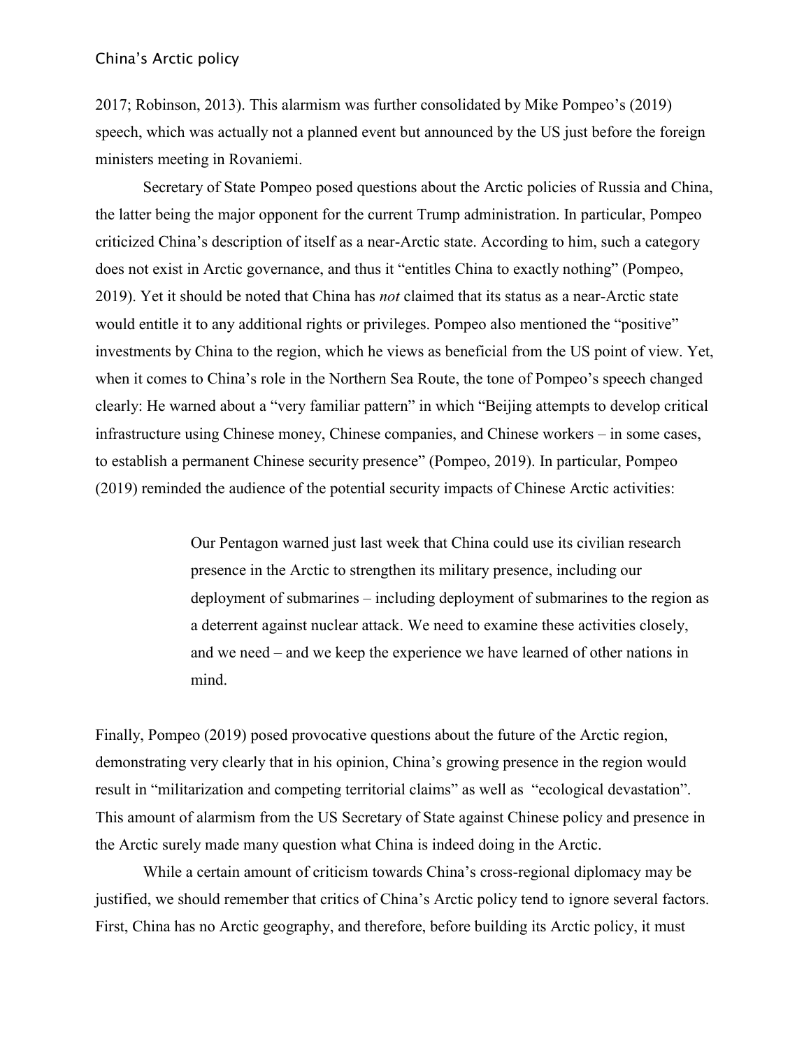2017; Robinson, 2013). This alarmism was further consolidated by Mike Pompeo's (2019) speech, which was actually not a planned event but announced by the US just before the foreign ministers meeting in Rovaniemi.

Secretary of State Pompeo posed questions about the Arctic policies of Russia and China, the latter being the major opponent for the current Trump administration. In particular, Pompeo criticized China's description of itself as a near-Arctic state. According to him, such a category does not exist in Arctic governance, and thus it "entitles China to exactly nothing" (Pompeo, 2019). Yet it should be noted that China has *not* claimed that its status as a near-Arctic state would entitle it to any additional rights or privileges. Pompeo also mentioned the "positive" investments by China to the region, which he views as beneficial from the US point of view. Yet, when it comes to China's role in the Northern Sea Route, the tone of Pompeo's speech changed clearly: He warned about a "very familiar pattern" in which "Beijing attempts to develop critical infrastructure using Chinese money, Chinese companies, and Chinese workers – in some cases, to establish a permanent Chinese security presence" (Pompeo, 2019). In particular, Pompeo (2019) reminded the audience of the potential security impacts of Chinese Arctic activities:

> Our Pentagon warned just last week that China could use its civilian research presence in the Arctic to strengthen its military presence, including our deployment of submarines – including deployment of submarines to the region as a deterrent against nuclear attack. We need to examine these activities closely, and we need – and we keep the experience we have learned of other nations in mind.

Finally, Pompeo (2019) posed provocative questions about the future of the Arctic region, demonstrating very clearly that in his opinion, China's growing presence in the region would result in "militarization and competing territorial claims" as well as "ecological devastation". This amount of alarmism from the US Secretary of State against Chinese policy and presence in the Arctic surely made many question what China is indeed doing in the Arctic.

While a certain amount of criticism towards China's cross-regional diplomacy may be justified, we should remember that critics of China's Arctic policy tend to ignore several factors. First, China has no Arctic geography, and therefore, before building its Arctic policy, it must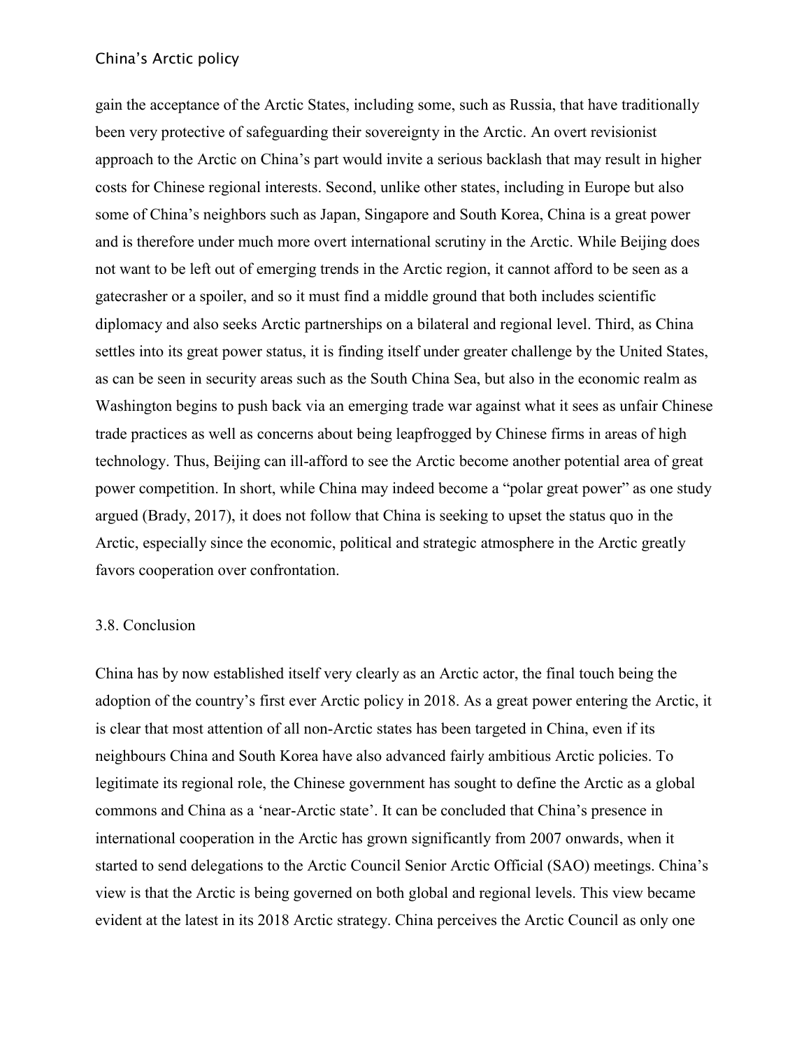gain the acceptance of the Arctic States, including some, such as Russia, that have traditionally been very protective of safeguarding their sovereignty in the Arctic. An overt revisionist approach to the Arctic on China's part would invite a serious backlash that may result in higher costs for Chinese regional interests. Second, unlike other states, including in Europe but also some of China's neighbors such as Japan, Singapore and South Korea, China is a great power and is therefore under much more overt international scrutiny in the Arctic. While Beijing does not want to be left out of emerging trends in the Arctic region, it cannot afford to be seen as a gatecrasher or a spoiler, and so it must find a middle ground that both includes scientific diplomacy and also seeks Arctic partnerships on a bilateral and regional level. Third, as China settles into its great power status, it is finding itself under greater challenge by the United States, as can be seen in security areas such as the South China Sea, but also in the economic realm as Washington begins to push back via an emerging trade war against what it sees as unfair Chinese trade practices as well as concerns about being leapfrogged by Chinese firms in areas of high technology. Thus, Beijing can ill-afford to see the Arctic become another potential area of great power competition. In short, while China may indeed become a "polar great power" as one study argued (Brady, 2017), it does not follow that China is seeking to upset the status quo in the Arctic, especially since the economic, political and strategic atmosphere in the Arctic greatly favors cooperation over confrontation.

#### 3.8. Conclusion

China has by now established itself very clearly as an Arctic actor, the final touch being the adoption of the country's first ever Arctic policy in 2018. As a great power entering the Arctic, it is clear that most attention of all non-Arctic states has been targeted in China, even if its neighbours China and South Korea have also advanced fairly ambitious Arctic policies. To legitimate its regional role, the Chinese government has sought to define the Arctic as a global commons and China as a 'near-Arctic state'. It can be concluded that China's presence in international cooperation in the Arctic has grown significantly from 2007 onwards, when it started to send delegations to the Arctic Council Senior Arctic Official (SAO) meetings. China's view is that the Arctic is being governed on both global and regional levels. This view became evident at the latest in its 2018 Arctic strategy. China perceives the Arctic Council as only one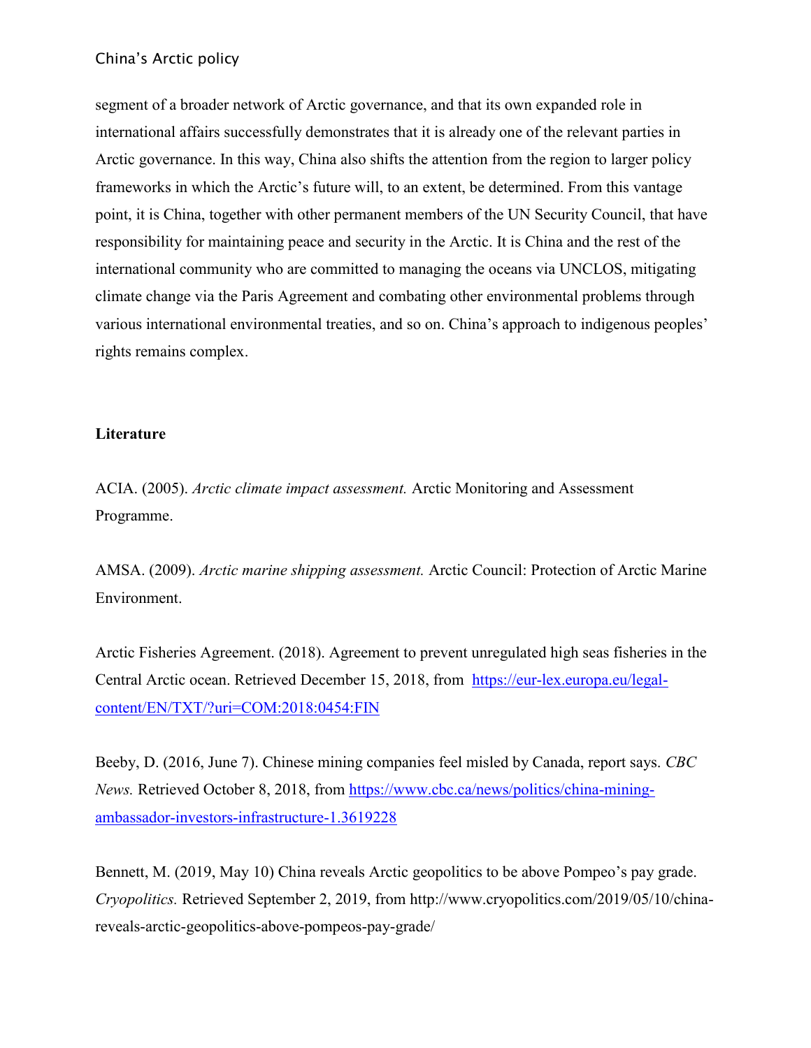segment of a broader network of Arctic governance, and that its own expanded role in international affairs successfully demonstrates that it is already one of the relevant parties in Arctic governance. In this way, China also shifts the attention from the region to larger policy frameworks in which the Arctic's future will, to an extent, be determined. From this vantage point, it is China, together with other permanent members of the UN Security Council, that have responsibility for maintaining peace and security in the Arctic. It is China and the rest of the international community who are committed to managing the oceans via UNCLOS, mitigating climate change via the Paris Agreement and combating other environmental problems through various international environmental treaties, and so on. China's approach to indigenous peoples' rights remains complex.

# **Literature**

ACIA. (2005). *Arctic climate impact assessment.* Arctic Monitoring and Assessment Programme.

AMSA. (2009). *Arctic marine shipping assessment.* Arctic Council: Protection of Arctic Marine Environment.

Arctic Fisheries Agreement. (2018). Agreement to prevent unregulated high seas fisheries in the Central Arctic ocean. Retrieved December 15, 2018, from [https://eur-lex.europa.eu/legal](https://eur-lex.europa.eu/legal-content/EN/TXT/?uri=COM:2018:0454:FIN)[content/EN/TXT/?uri=COM:2018:0454:FIN](https://eur-lex.europa.eu/legal-content/EN/TXT/?uri=COM:2018:0454:FIN)

Beeby, D. (2016, June 7). Chinese mining companies feel misled by Canada, report says. *CBC News.* Retrieved October 8, 2018, from [https://www.cbc.ca/news/politics/china-mining](https://www.cbc.ca/news/politics/china-mining-ambassador-investors-infrastructure-1.3619228)[ambassador-investors-infrastructure-1.3619228](https://www.cbc.ca/news/politics/china-mining-ambassador-investors-infrastructure-1.3619228)

Bennett, M. (2019, May 10) China reveals Arctic geopolitics to be above Pompeo's pay grade. *Cryopolitics.* Retrieved September 2, 2019, from http://www.cryopolitics.com/2019/05/10/chinareveals-arctic-geopolitics-above-pompeos-pay-grade/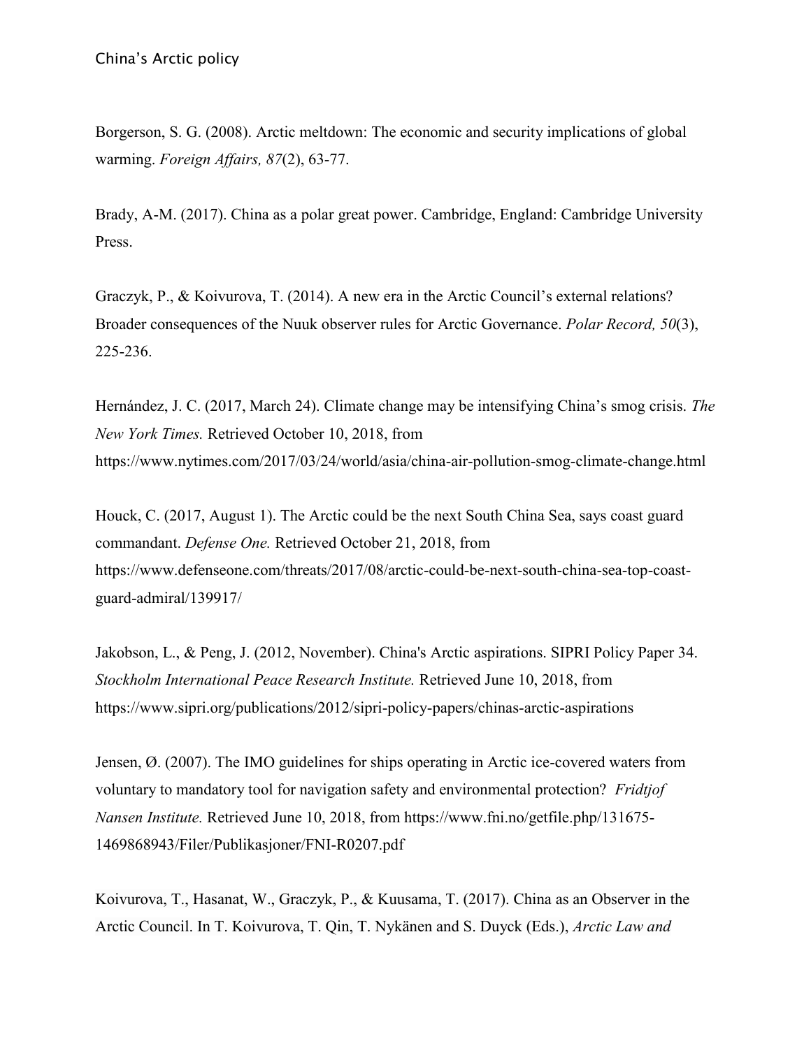Borgerson, S. G. (2008). Arctic meltdown: The economic and security implications of global warming. *Foreign Affairs, 87*(2), 63-77.

Brady, A-M. (2017). China as a polar great power. Cambridge, England: Cambridge University Press.

Graczyk, P., & Koivurova, T. (2014). A new era in the Arctic Council's external relations? Broader consequences of the Nuuk observer rules for Arctic Governance. *Polar Record, 50*(3), 225-236.

Hernández, J. C. (2017, March 24). Climate change may be intensifying China's smog crisis. *The New York Times.* [Retrieved October 10, 2018, from](https://www.nytimes.com/2017/03/24/world/asia/china-air-pollution-smog-climate-change.html)  <https://www.nytimes.com/2017/03/24/world/asia/china-air-pollution-smog-climate-change.html>

Houck, C. (2017, August 1). The Arctic could be the next South China Sea, says coast guard commandant. *Defense One.* Retrieved October 21, 2018, from https://www.defenseone.com/threats/2017/08/arctic-could-be-next-south-china-sea-top-coastguard-admiral/139917/

Jakobson, L., & Peng, J. (2012, November). China's Arctic aspirations. SIPRI Policy Paper 34. *Stockholm International Peace Research Institute.* Retrieved June 10, 2018, from https://www.sipri.org/publications/2012/sipri-policy-papers/chinas-arctic-aspirations

Jensen, Ø. (2007). The IMO guidelines for ships operating in Arctic ice-covered waters from voluntary to mandatory tool for navigation safety and environmental protection? *Fridtjof Nansen Institute.* Retrieved June 10, 2018, from https://www.fni.no/getfile.php/131675- 1469868943/Filer/Publikasjoner/FNI-R0207.pdf

Koivurova, T., Hasanat, W., Graczyk, P., & Kuusama, T. (2017). China as an Observer in the Arctic Council. In T. Koivurova, T. Qin, T. Nykänen and S. Duyck (Eds.), *Arctic Law and*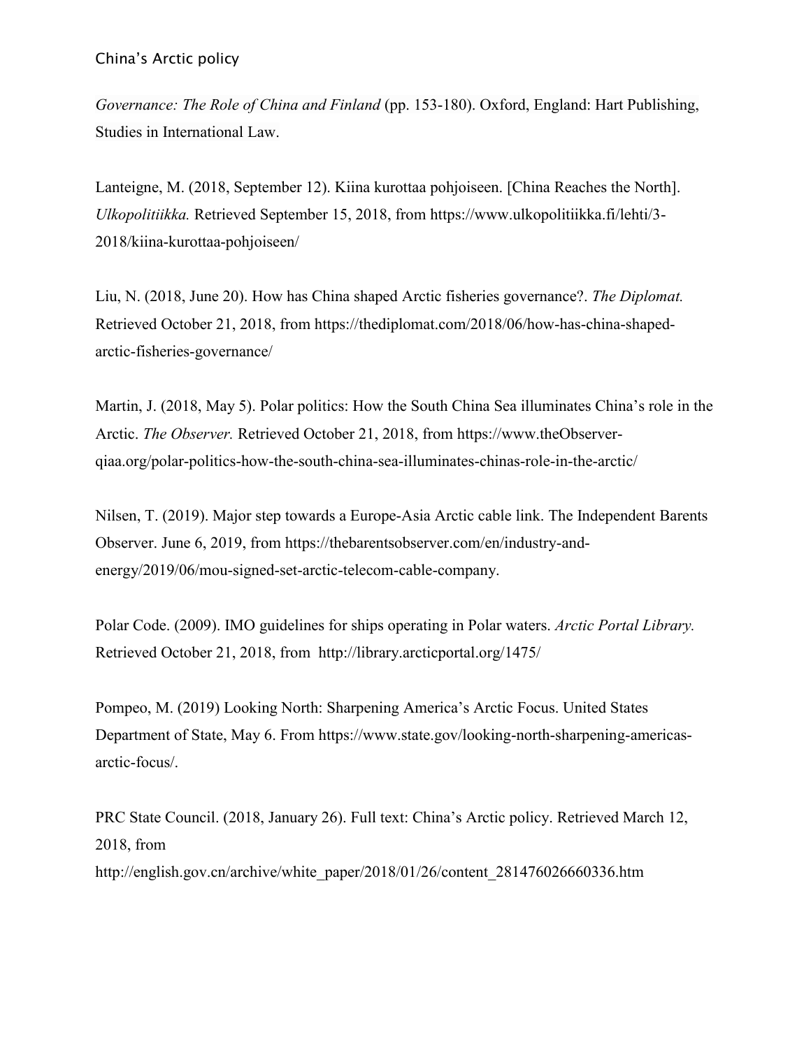*Governance: The Role of China and Finland* (pp. 153-180). Oxford, England: Hart Publishing, Studies in International Law.

Lanteigne, M. (2018, September 12). Kiina kurottaa pohjoiseen. [China Reaches the North]. *Ulkopolitiikka.* Retrieved September 15, 2018, from https://www.ulkopolitiikka.fi/lehti/3- 2018/kiina-kurottaa-pohjoiseen/

Liu, N. (2018, June 20). How has China shaped Arctic fisheries governance?. *The Diplomat.*  Retrieved October 21, 2018, from https://thediplomat.com/2018/06/how-has-china-shapedarctic-fisheries-governance/

Martin, J. (2018, May 5). Polar politics: How the South China Sea illuminates China's role in the Arctic. *The Observer.* Retrieved October 21, 2018, from https://www.theObserverqiaa.org/polar-politics-how-the-south-china-sea-illuminates-chinas-role-in-the-arctic/

Nilsen, T. (2019). Major step towards a Europe-Asia Arctic cable link. The Independent Barents Observer. June 6, 2019, from https://thebarentsobserver.com/en/industry-andenergy/2019/06/mou-signed-set-arctic-telecom-cable-company.

Polar Code. (2009). IMO guidelines for ships operating in Polar waters. *Arctic Portal Library.* Retrieved October 21, 2018, from http://library.arcticportal.org/1475/

Pompeo, M. (2019) Looking North: Sharpening America's Arctic Focus. United States Department of State, May 6. From https://www.state.gov/looking-north-sharpening-americasarctic-focus/.

PRC State Council. (2018, January 26). Full text: China's Arctic policy. Retrieved March 12, 2018, from http://english.gov.cn/archive/white\_paper/2018/01/26/content\_281476026660336.htm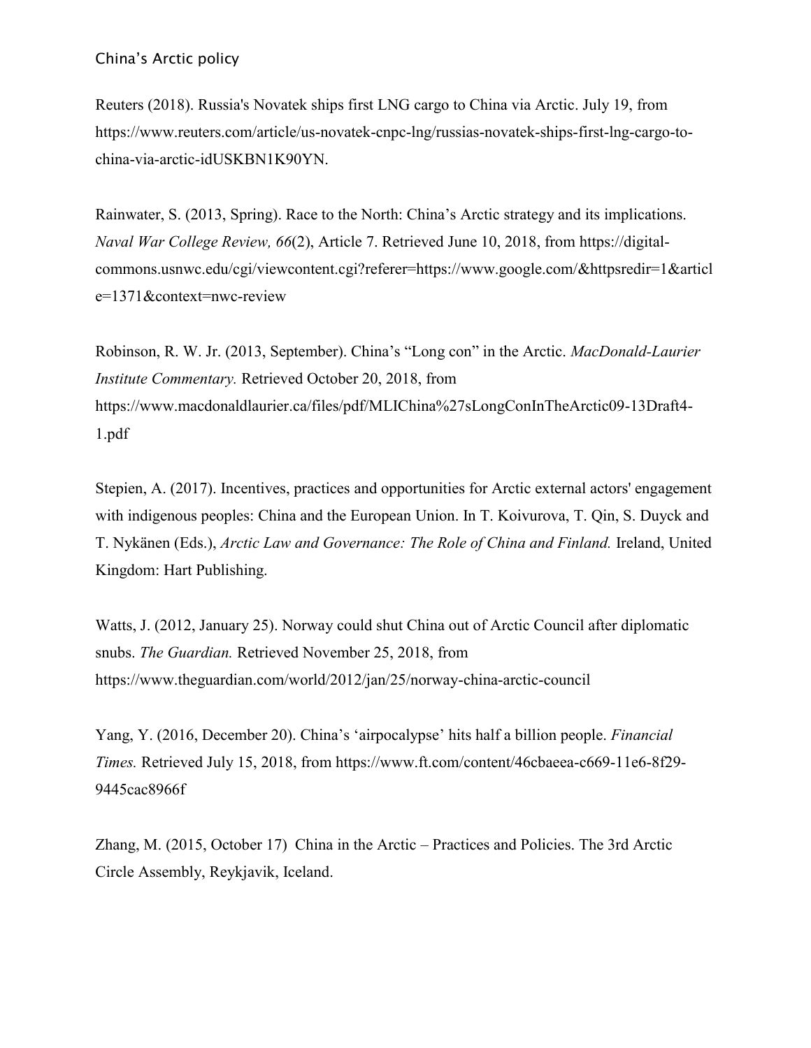Reuters (2018). Russia's Novatek ships first LNG cargo to China via Arctic. July 19, from https://www.reuters.com/article/us-novatek-cnpc-lng/russias-novatek-ships-first-lng-cargo-tochina-via-arctic-idUSKBN1K90YN.

Rainwater, S. (2013, Spring). Race to the North: China's Arctic strategy and its implications. *Naval War College Review, 66*(2), Article 7. Retrieved June 10, 2018, from https://digitalcommons.usnwc.edu/cgi/viewcontent.cgi?referer=https://www.google.com/&httpsredir=1&articl e=1371&context=nwc-review

Robinson, R. W. Jr. (2013, September). China's "Long con" in the Arctic. *MacDonald-Laurier Institute Commentary.* Retrieved October 20, 2018, from https://www.macdonaldlaurier.ca/files/pdf/MLIChina%27sLongConInTheArctic09-13Draft4- 1.pdf

Stepien, A. (2017). Incentives, practices and opportunities for Arctic external actors' engagement with indigenous peoples: China and the European Union. In T. Koivurova, T. Qin, S. Duyck and T. Nykänen (Eds.), *Arctic Law and Governance: The Role of China and Finland.* Ireland, United Kingdom: Hart Publishing.

Watts, J. (2012, January 25). Norway could shut China out of Arctic Council after diplomatic snubs. *The Guardian.* Retrieved November 25, 2018, from https://www.theguardian.com/world/2012/jan/25/norway-china-arctic-council

Yang, Y. (2016, December 20). China's 'airpocalypse' hits half a billion people. *Financial Times.* Retrieved July 15, 2018, from https://www.ft.com/content/46cbaeea-c669-11e6-8f29- 9445cac8966f

Zhang, M. (2015, October 17) China in the Arctic – Practices and Policies. The 3rd Arctic Circle Assembly, Reykjavik, Iceland.